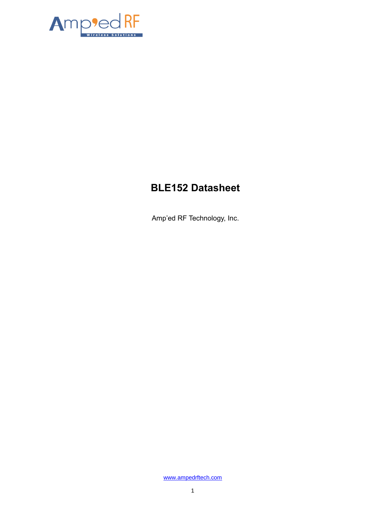

# **BLE152 Datasheet**

Amp'ed RF Technology, Inc.

[www.ampedrftech.com](http://www.ampedrftech.com/)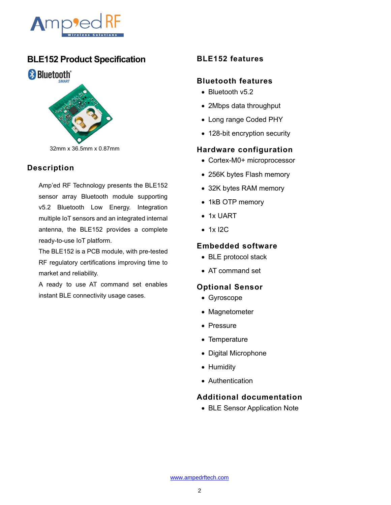

# **BLE152 Product Specification**



### **Description**

Amp'ed RF Technology presents the BLE152 sensor array Bluetooth module supporting v5.2 Bluetooth Low Energy. Integration multiple IoT sensors and an integrated internal antenna, the BLE152 provides a complete ready-to-use IoT platform.

The BLE152 is a PCB module, with pre-tested RF regulatory certifications improving time to market and reliability.

A ready to use AT command set enables instant BLE connectivity usage cases.

# **BLE152 features**

#### **Bluetooth features**

- Bluetooth v5.2
- 2Mbps data throughput
- Long range Coded PHY
- 128-bit encryption security

#### **Hardware configuration**

- Cortex-M0+ microprocessor
- 256K bytes Flash memory
- 32K bytes RAM memory
- 1kB OTP memory
- 1x UART
- 1x I2C

#### **Embedded software**

- BLE protocol stack
- AT command set

#### **Optional Sensor**

- Gyroscope
- Magnetometer
- Pressure
- Temperature
- Digital Microphone
- Humidity
- Authentication

# **Additional documentation**

• BLE Sensor Application Note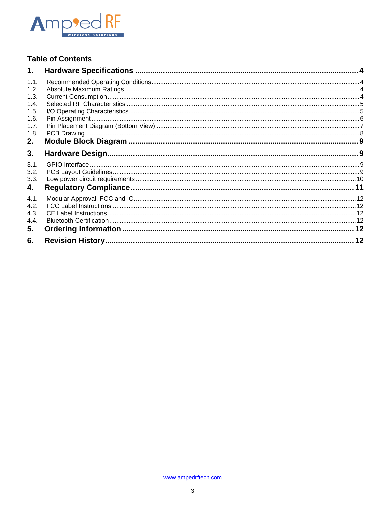

# **Table of Contents**

| 1.   |  |
|------|--|
| 1.1. |  |
| 1.2. |  |
| 1.3. |  |
| 1.4. |  |
| 1.5. |  |
| 1.6. |  |
| 1.7. |  |
| 1.8. |  |
| 2.   |  |
| 3.   |  |
| 3.1. |  |
| 3.2. |  |
| 3.3. |  |
| 4.   |  |
| 4.1. |  |
| 4.2. |  |
| 4.3. |  |
| 4.4. |  |
| 5.   |  |
| 6.   |  |
|      |  |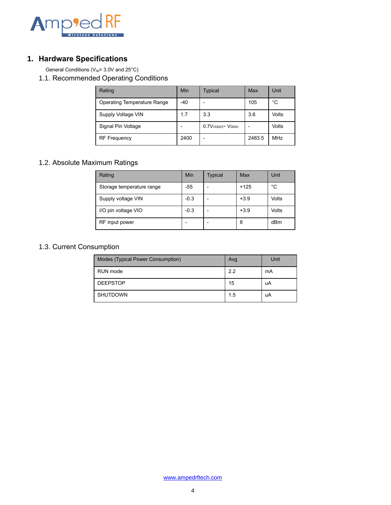

# <span id="page-3-0"></span>**1. Hardware Specifications**

General Conditions ( $V_{\text{IN}}$ = 3.0V and 25°C)

<span id="page-3-1"></span>1.1. Recommended Operating Conditions

| Rating                      | Min   | <b>Typical</b>                            | Max    | Unit  |
|-----------------------------|-------|-------------------------------------------|--------|-------|
| Operating Temperature Range | $-40$ | $\overline{\phantom{a}}$                  | 105    | °C    |
| Supply Voltage VIN          | 1.7   | 3.3                                       | 3.6    | Volts |
| Signal Pin Voltage          |       | 0.7V <sub>VDDIO</sub> ~ V <sub>DDIO</sub> |        | Volts |
| <b>RF Frequency</b>         | 2400  | $\overline{\phantom{0}}$                  | 2483.5 | MHz   |

# <span id="page-3-2"></span>1.2. Absolute Maximum Ratings

| Rating                    | Min    | <b>Typical</b> | Max    | Unit  |
|---------------------------|--------|----------------|--------|-------|
| Storage temperature range | $-55$  |                | $+125$ | °C    |
| Supply voltage VIN        | $-0.3$ |                | $+3.9$ | Volts |
| I/O pin voltage VIO       | $-0.3$ |                | $+3.9$ | Volts |
| RF input power            |        |                | 8      | dBm   |

# <span id="page-3-3"></span>1.3. Current Consumption

| Modes (Typical Power Consumption) | Avg | Unit |
|-----------------------------------|-----|------|
| RUN mode                          | 2.2 | mA   |
| <b>DEEPSTOP</b>                   | 15  | uA   |
| <b>SHUTDOWN</b>                   | 1.5 | uA   |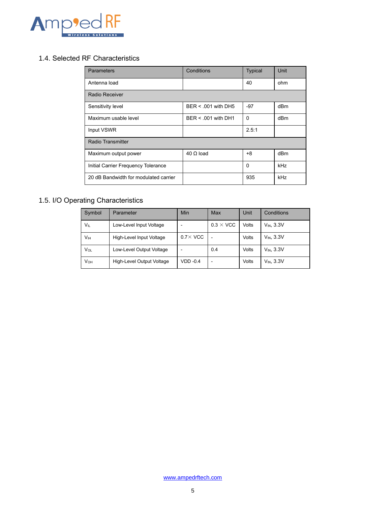

### <span id="page-4-0"></span>1.4. Selected RF Characteristics

| <b>Parameters</b>                     | Conditions            | <b>Typical</b> | Unit |  |
|---------------------------------------|-----------------------|----------------|------|--|
| Antenna load                          |                       | 40             | ohm  |  |
| Radio Receiver                        |                       |                |      |  |
| Sensitivity level                     | $BER < 001$ with DH5  | $-97$          | dBm  |  |
| Maximum usable level                  | $BER < .001$ with DH1 | $\Omega$       | dBm  |  |
| Input VSWR                            |                       | 2.5:1          |      |  |
| Radio Transmitter                     |                       |                |      |  |
| Maximum output power                  | $40 \Omega$ load      | $+8$           | dBm  |  |
| Initial Carrier Frequency Tolerance   |                       | $\Omega$       | kHz  |  |
| 20 dB Bandwidth for modulated carrier |                       | 935            | kHz  |  |

# <span id="page-4-1"></span>1.5. I/O Operating Characteristics

| Symbol      | Parameter                 | Min              | Max              | Unit  | <b>Conditions</b> |
|-------------|---------------------------|------------------|------------------|-------|-------------------|
| VIL         | Low-Level Input Voltage   |                  | $0.3 \times$ VCC | Volts | $V_{IN}$ , $3.3V$ |
| Vн          | High-Level Input Voltage  | $0.7 \times$ VCC |                  | Volts | $V_{IN}$ , $3.3V$ |
| Vol         | Low-Level Output Voltage  |                  | 0.4              | Volts | $V_{IN}$ , $3.3V$ |
| <b>V</b> он | High-Level Output Voltage | $VDD -0.4$       | ۰                | Volts | $V_{IN}$ , $3.3V$ |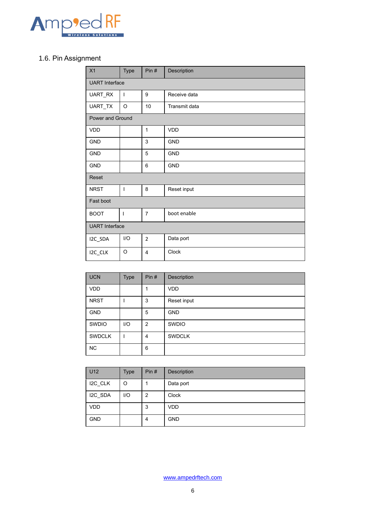

# <span id="page-5-0"></span>1.6. Pin Assignment

| X1                    | Type                  | Pin#           | Description   |  |  |  |
|-----------------------|-----------------------|----------------|---------------|--|--|--|
|                       | <b>UART</b> Interface |                |               |  |  |  |
| UART_RX               | I                     | 9              | Receive data  |  |  |  |
| UART_TX               | $\circ$               | 10             | Transmit data |  |  |  |
| Power and Ground      |                       |                |               |  |  |  |
| VDD                   |                       | $\mathbf{1}$   | <b>VDD</b>    |  |  |  |
| GND                   |                       | 3              | GND           |  |  |  |
| GND                   |                       | 5              | <b>GND</b>    |  |  |  |
| <b>GND</b>            |                       | 6              | <b>GND</b>    |  |  |  |
| Reset                 |                       |                |               |  |  |  |
| <b>NRST</b>           | I                     | 8              | Reset input   |  |  |  |
| Fast boot             |                       |                |               |  |  |  |
| <b>BOOT</b>           | ı                     | $\overline{7}$ | boot enable   |  |  |  |
| <b>UART</b> Interface |                       |                |               |  |  |  |
| I2C_SDA               | I/O                   | $\overline{2}$ | Data port     |  |  |  |
| I2C_CLK               | $\circ$               | 4              | Clock         |  |  |  |

| <b>UCN</b>    | <b>Type</b> | Pin#           | Description   |
|---------------|-------------|----------------|---------------|
| <b>VDD</b>    |             |                | <b>VDD</b>    |
| <b>NRST</b>   |             | 3              | Reset input   |
| <b>GND</b>    |             | 5              | <b>GND</b>    |
| SWDIO         | I/O         | $\overline{2}$ | <b>SWDIO</b>  |
| <b>SWDCLK</b> |             | $\overline{4}$ | <b>SWDCLK</b> |
| <b>NC</b>     |             | 6              |               |

| U12        | Type | Pin# | Description |
|------------|------|------|-------------|
| I2C_CLK    | O    |      | Data port   |
| I2C_SDA    | I/O  | 2    | Clock       |
| <b>VDD</b> |      | 3    | <b>VDD</b>  |
| <b>GND</b> |      | 4    | <b>GND</b>  |

[www.ampedrftech.com](http://www.ampedrftech.com/)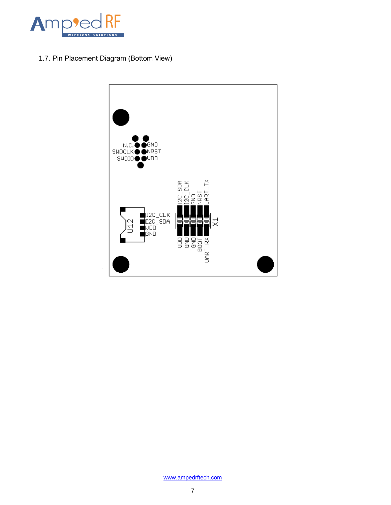

<span id="page-6-0"></span>1.7. Pin Placement Diagram (Bottom View)

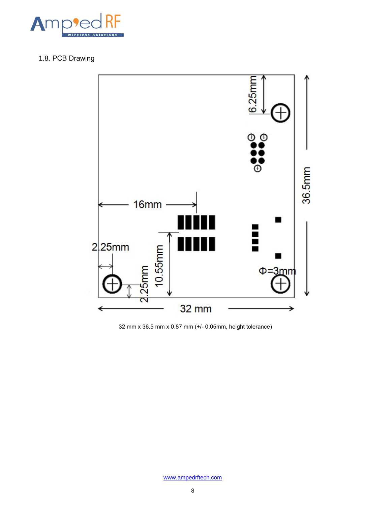

# <span id="page-7-0"></span>1.8. PCB Drawing



32 mm x 36.5 mm x 0.87 mm (+/- 0.05mm, height tolerance)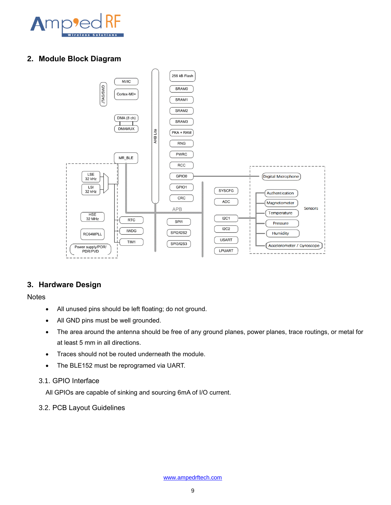

## <span id="page-8-0"></span>**2. Module Block Diagram**



### <span id="page-8-1"></span>**3. Hardware Design**

**Notes** 

- All unused pins should be left floating; do not ground.
- All GND pins must be well grounded.
- The area around the antenna should be free of any ground planes, power planes, trace routings, or metal for at least 5 mm in all directions.
- Traces should not be routed underneath the module.
- The BLE152 must be reprogramed via UART.
- <span id="page-8-2"></span>3.1. GPIO Interface

All GPIOs are capable of sinking and sourcing 6mA of I/O current.

<span id="page-8-3"></span>3.2. PCB Layout Guidelines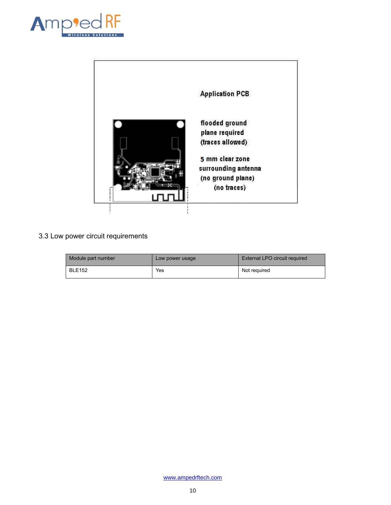



# <span id="page-9-0"></span>3.3 Low power circuit requirements

| Module part number | Low power usage | External LPO circuit required |
|--------------------|-----------------|-------------------------------|
| <b>BLE152</b>      | Yes             | Not reauired                  |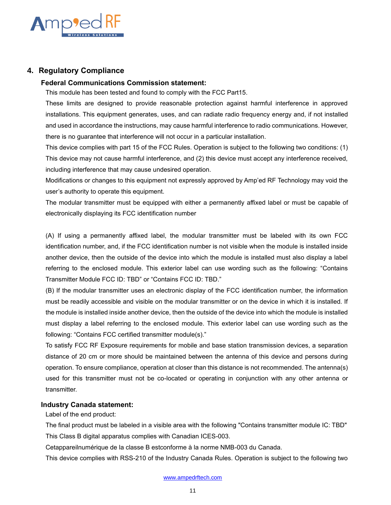

#### <span id="page-10-0"></span>**4. Regulatory Compliance**

#### **Federal Communications Commission statement:**

This module has been tested and found to comply with the FCC Part15.

These limits are designed to provide reasonable protection against harmful interference in approved installations. This equipment generates, uses, and can radiate radio frequency energy and, if not installed and used in accordance the instructions, may cause harmful interference to radio communications. However, there is no guarantee that interference will not occur in a particular installation.

This device complies with part 15 of the FCC Rules. Operation is subject to the following two conditions: (1) This device may not cause harmful interference, and (2) this device must accept any interference received, including interference that may cause undesired operation.

Modifications or changes to this equipment not expressly approved by Amp'ed RF Technology may void the user's authority to operate this equipment.

The modular transmitter must be equipped with either a permanently affixed label or must be capable of electronically displaying its FCC identification number

(A) If using a permanently affixed label, the modular transmitter must be labeled with its own FCC identification number, and, if the FCC identification number is not visible when the module is installed inside another device, then the outside of the device into which the module is installed must also display a label referring to the enclosed module. This exterior label can use wording such as the following: "Contains Transmitter Module FCC ID: TBD" or "Contains FCC ID: TBD."

(B) If the modular transmitter uses an electronic display of the FCC identification number, the information must be readily accessible and visible on the modular transmitter or on the device in which it is installed. If the module is installed inside another device, then the outside of the device into which the module is installed must display a label referring to the enclosed module. This exterior label can use wording such as the following: "Contains FCC certified transmitter module(s)."

To satisfy FCC RF Exposure requirements for mobile and base station transmission devices, a separation distance of 20 cm or more should be maintained between the antenna of this device and persons during operation. To ensure compliance, operation at closer than this distance is not recommended. The antenna(s) used for this transmitter must not be co-located or operating in conjunction with any other antenna or transmitter.

#### **Industry Canada statement:**

Label of the end product:

The final product must be labeled in a visible area with the following "Contains transmitter module IC: TBD" This Class B digital apparatus complies with Canadian ICES-003.

Cetappareilnumérique de la classe B estconforme à la norme NMB-003 du Canada.

This device complies with RSS-210 of the Industry Canada Rules. Operation is subject to the following two